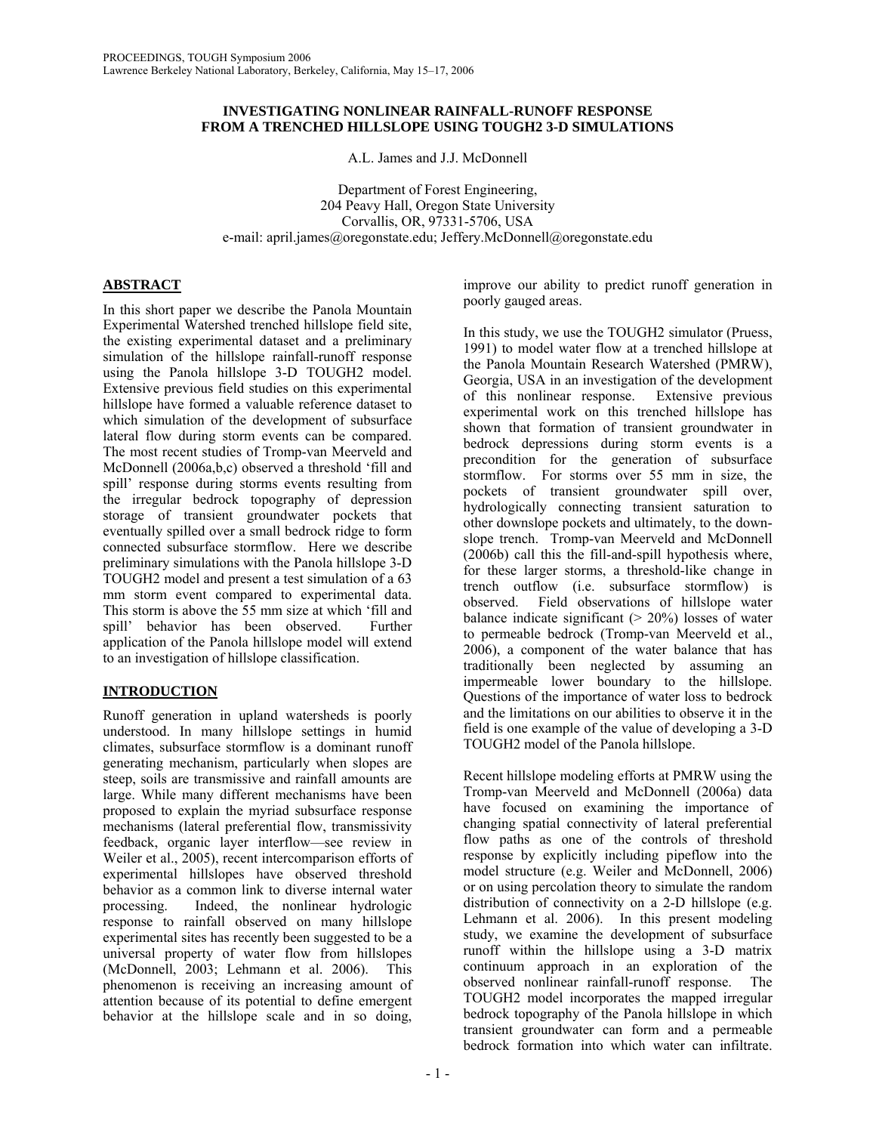## **INVESTIGATING NONLINEAR RAINFALL-RUNOFF RESPONSE FROM A TRENCHED HILLSLOPE USING TOUGH2 3-D SIMULATIONS**

A.L. James and J.J. McDonnell

Department of Forest Engineering, 204 Peavy Hall, Oregon State University Corvallis, OR, 97331-5706, USA e-mail: april.james@oregonstate.edu; Jeffery.McDonnell@oregonstate.edu

# **ABSTRACT**

In this short paper we describe the Panola Mountain Experimental Watershed trenched hillslope field site, the existing experimental dataset and a preliminary simulation of the hillslope rainfall-runoff response using the Panola hillslope 3-D TOUGH2 model. Extensive previous field studies on this experimental hillslope have formed a valuable reference dataset to which simulation of the development of subsurface lateral flow during storm events can be compared. The most recent studies of Tromp-van Meerveld and McDonnell (2006a,b,c) observed a threshold 'fill and spill' response during storms events resulting from the irregular bedrock topography of depression storage of transient groundwater pockets that eventually spilled over a small bedrock ridge to form connected subsurface stormflow. Here we describe preliminary simulations with the Panola hillslope 3-D TOUGH2 model and present a test simulation of a 63 mm storm event compared to experimental data. This storm is above the 55 mm size at which 'fill and spill' behavior has been observed. Further application of the Panola hillslope model will extend to an investigation of hillslope classification.

# **INTRODUCTION**

Runoff generation in upland watersheds is poorly understood. In many hillslope settings in humid climates, subsurface stormflow is a dominant runoff generating mechanism, particularly when slopes are steep, soils are transmissive and rainfall amounts are large. While many different mechanisms have been proposed to explain the myriad subsurface response mechanisms (lateral preferential flow, transmissivity feedback, organic layer interflow—see review in Weiler et al., 2005), recent intercomparison efforts of experimental hillslopes have observed threshold behavior as a common link to diverse internal water processing. Indeed, the nonlinear hydrologic response to rainfall observed on many hillslope experimental sites has recently been suggested to be a universal property of water flow from hillslopes (McDonnell, 2003; Lehmann et al. 2006). This phenomenon is receiving an increasing amount of attention because of its potential to define emergent behavior at the hillslope scale and in so doing,

improve our ability to predict runoff generation in poorly gauged areas.

In this study, we use the TOUGH2 simulator (Pruess, 1991) to model water flow at a trenched hillslope at the Panola Mountain Research Watershed (PMRW), Georgia, USA in an investigation of the development of this nonlinear response. Extensive previous experimental work on this trenched hillslope has shown that formation of transient groundwater in bedrock depressions during storm events is a precondition for the generation of subsurface stormflow. For storms over 55 mm in size, the pockets of transient groundwater spill over, hydrologically connecting transient saturation to other downslope pockets and ultimately, to the downslope trench. Tromp-van Meerveld and McDonnell (2006b) call this the fill-and-spill hypothesis where, for these larger storms, a threshold-like change in trench outflow (i.e. subsurface stormflow) is observed. Field observations of hillslope water balance indicate significant  $(> 20\%)$  losses of water to permeable bedrock (Tromp-van Meerveld et al., 2006), a component of the water balance that has traditionally been neglected by assuming an impermeable lower boundary to the hillslope. Questions of the importance of water loss to bedrock and the limitations on our abilities to observe it in the field is one example of the value of developing a 3-D TOUGH2 model of the Panola hillslope.

Recent hillslope modeling efforts at PMRW using the Tromp-van Meerveld and McDonnell (2006a) data have focused on examining the importance of changing spatial connectivity of lateral preferential flow paths as one of the controls of threshold response by explicitly including pipeflow into the model structure (e.g. Weiler and McDonnell, 2006) or on using percolation theory to simulate the random distribution of connectivity on a 2-D hillslope (e.g. Lehmann et al. 2006). In this present modeling study, we examine the development of subsurface runoff within the hillslope using a 3-D matrix continuum approach in an exploration of the observed nonlinear rainfall-runoff response. The TOUGH2 model incorporates the mapped irregular bedrock topography of the Panola hillslope in which transient groundwater can form and a permeable bedrock formation into which water can infiltrate.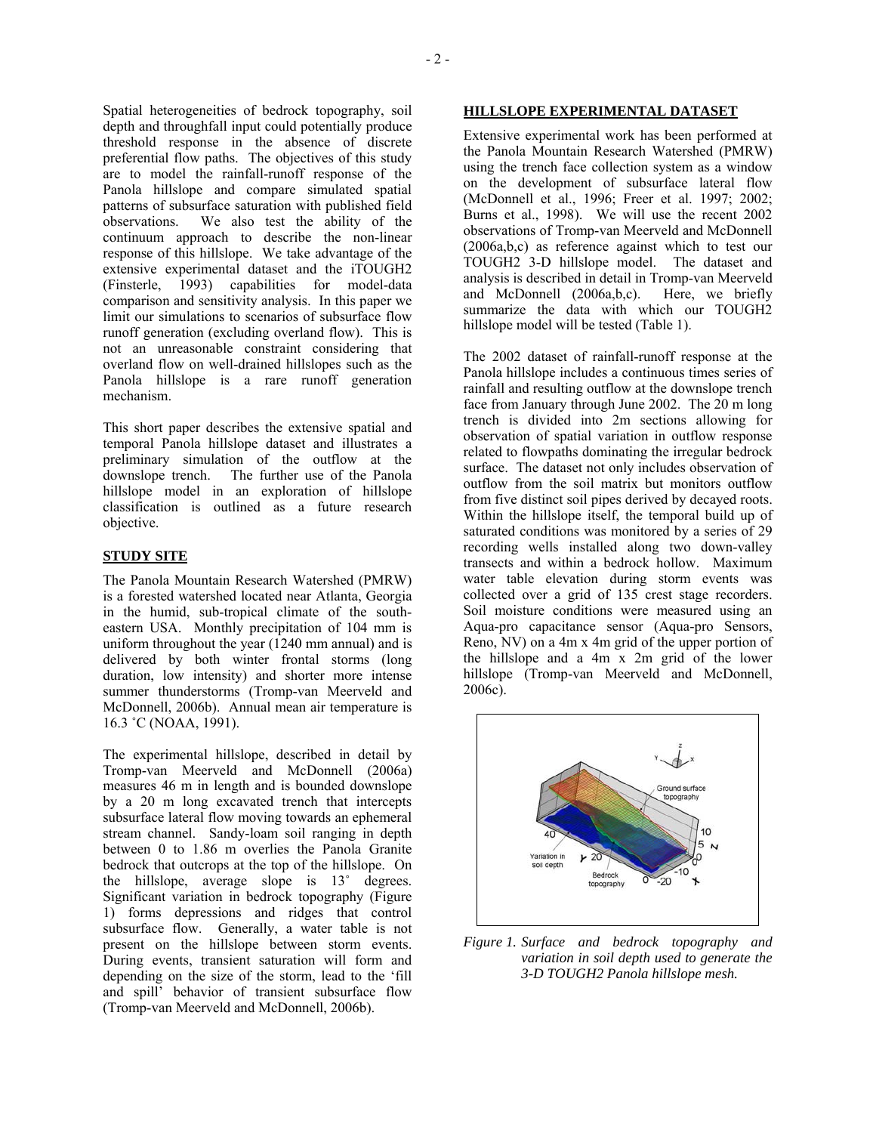Spatial heterogeneities of bedrock topography, soil depth and throughfall input could potentially produce threshold response in the absence of discrete preferential flow paths. The objectives of this study are to model the rainfall-runoff response of the Panola hillslope and compare simulated spatial patterns of subsurface saturation with published field observations. We also test the ability of the continuum approach to describe the non-linear response of this hillslope. We take advantage of the extensive experimental dataset and the iTOUGH2 (Finsterle, 1993) capabilities for model-data comparison and sensitivity analysis. In this paper we limit our simulations to scenarios of subsurface flow runoff generation (excluding overland flow). This is not an unreasonable constraint considering that overland flow on well-drained hillslopes such as the Panola hillslope is a rare runoff generation mechanism.

This short paper describes the extensive spatial and temporal Panola hillslope dataset and illustrates a preliminary simulation of the outflow at the downslope trench. The further use of the Panola hillslope model in an exploration of hillslope classification is outlined as a future research objective.

## **STUDY SITE**

The Panola Mountain Research Watershed (PMRW) is a forested watershed located near Atlanta, Georgia in the humid, sub-tropical climate of the southeastern USA. Monthly precipitation of 104 mm is uniform throughout the year (1240 mm annual) and is delivered by both winter frontal storms (long duration, low intensity) and shorter more intense summer thunderstorms (Tromp-van Meerveld and McDonnell, 2006b). Annual mean air temperature is 16.3 ˚C (NOAA, 1991).

The experimental hillslope, described in detail by Tromp-van Meerveld and McDonnell (2006a) measures 46 m in length and is bounded downslope by a 20 m long excavated trench that intercepts subsurface lateral flow moving towards an ephemeral stream channel. Sandy-loam soil ranging in depth between 0 to 1.86 m overlies the Panola Granite bedrock that outcrops at the top of the hillslope. On the hillslope, average slope is 13˚ degrees. Significant variation in bedrock topography (Figure 1) forms depressions and ridges that control subsurface flow. Generally, a water table is not present on the hillslope between storm events. During events, transient saturation will form and depending on the size of the storm, lead to the 'fill and spill' behavior of transient subsurface flow (Tromp-van Meerveld and McDonnell, 2006b).

# **HILLSLOPE EXPERIMENTAL DATASET**

Extensive experimental work has been performed at the Panola Mountain Research Watershed (PMRW) using the trench face collection system as a window on the development of subsurface lateral flow (McDonnell et al., 1996; Freer et al. 1997; 2002; Burns et al., 1998). We will use the recent 2002 observations of Tromp-van Meerveld and McDonnell (2006a,b,c) as reference against which to test our TOUGH2 3-D hillslope model. The dataset and analysis is described in detail in Tromp-van Meerveld and McDonnell (2006a,b,c). Here, we briefly summarize the data with which our TOUGH2 hillslope model will be tested (Table 1).

The 2002 dataset of rainfall-runoff response at the Panola hillslope includes a continuous times series of rainfall and resulting outflow at the downslope trench face from January through June 2002. The 20 m long trench is divided into 2m sections allowing for observation of spatial variation in outflow response related to flowpaths dominating the irregular bedrock surface. The dataset not only includes observation of outflow from the soil matrix but monitors outflow from five distinct soil pipes derived by decayed roots. Within the hillslope itself, the temporal build up of saturated conditions was monitored by a series of 29 recording wells installed along two down-valley transects and within a bedrock hollow. Maximum water table elevation during storm events was collected over a grid of 135 crest stage recorders. Soil moisture conditions were measured using an Aqua-pro capacitance sensor (Aqua-pro Sensors, Reno, NV) on a 4m x 4m grid of the upper portion of the hillslope and a 4m x 2m grid of the lower hillslope (Tromp-van Meerveld and McDonnell, 2006c).



*Figure 1. Surface and bedrock topography and variation in soil depth used to generate the 3-D TOUGH2 Panola hillslope mesh.*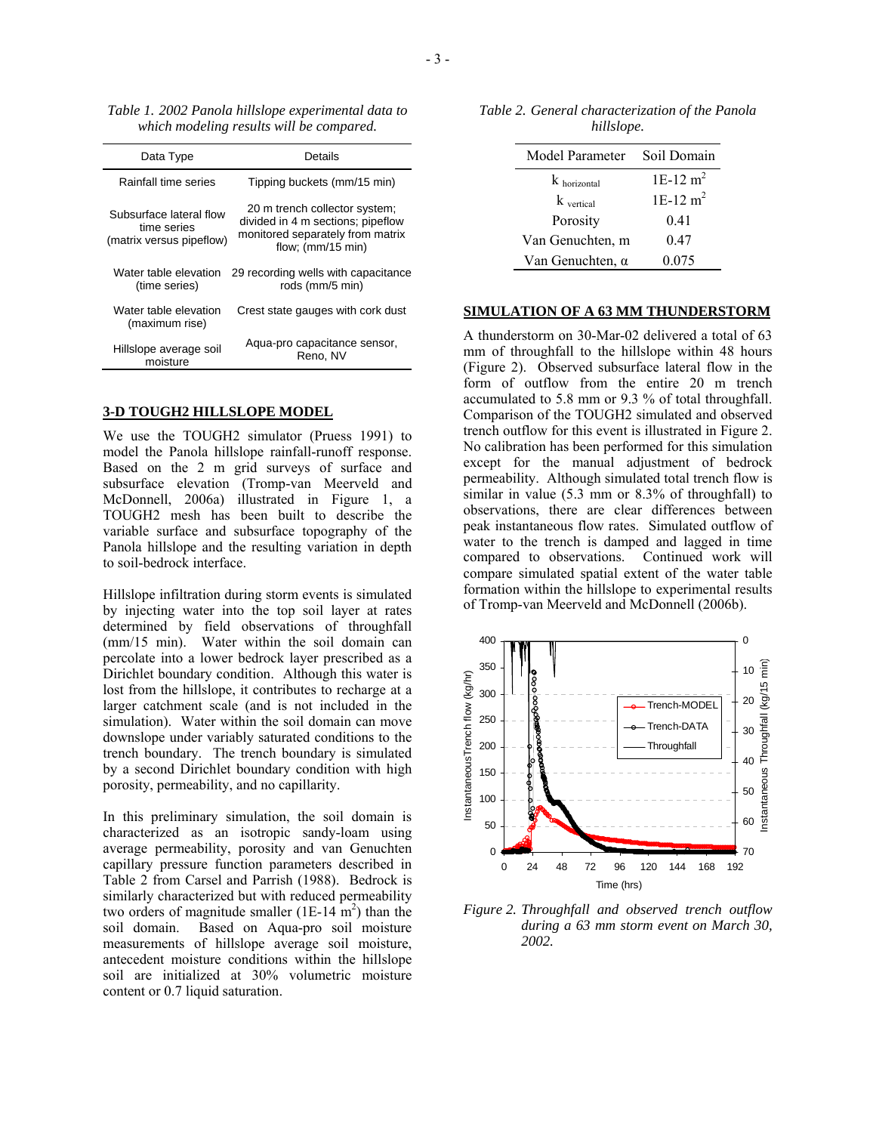*Table 1. 2002 Panola hillslope experimental data to which modeling results will be compared.* 

| Data Type                                                          | Details                                                                                                                       |  |  |
|--------------------------------------------------------------------|-------------------------------------------------------------------------------------------------------------------------------|--|--|
| Rainfall time series                                               | Tipping buckets (mm/15 min)                                                                                                   |  |  |
| Subsurface lateral flow<br>time series<br>(matrix versus pipeflow) | 20 m trench collector system;<br>divided in 4 m sections; pipeflow<br>monitored separately from matrix<br>flow; $(mm/15 min)$ |  |  |
| Water table elevation<br>(time series)                             | 29 recording wells with capacitance<br>rods (mm/5 min)                                                                        |  |  |
| Water table elevation<br>(maximum rise)                            | Crest state gauges with cork dust                                                                                             |  |  |
| Hillslope average soil<br>moisture                                 | Aqua-pro capacitance sensor,<br>Reno, NV                                                                                      |  |  |

### **3-D TOUGH2 HILLSLOPE MODEL**

We use the TOUGH2 simulator (Pruess 1991) to model the Panola hillslope rainfall-runoff response. Based on the 2 m grid surveys of surface and subsurface elevation (Tromp-van Meerveld and McDonnell, 2006a) illustrated in Figure 1, a TOUGH2 mesh has been built to describe the variable surface and subsurface topography of the Panola hillslope and the resulting variation in depth to soil-bedrock interface.

Hillslope infiltration during storm events is simulated by injecting water into the top soil layer at rates determined by field observations of throughfall (mm/15 min). Water within the soil domain can percolate into a lower bedrock layer prescribed as a Dirichlet boundary condition. Although this water is lost from the hillslope, it contributes to recharge at a larger catchment scale (and is not included in the simulation). Water within the soil domain can move downslope under variably saturated conditions to the trench boundary. The trench boundary is simulated by a second Dirichlet boundary condition with high porosity, permeability, and no capillarity.

In this preliminary simulation, the soil domain is characterized as an isotropic sandy-loam using average permeability, porosity and van Genuchten capillary pressure function parameters described in Table 2 from Carsel and Parrish (1988). Bedrock is similarly characterized but with reduced permeability two orders of magnitude smaller  $(1E-14 \text{ m}^2)$  than the soil domain. Based on Aqua-pro soil moisture measurements of hillslope average soil moisture, antecedent moisture conditions within the hillslope soil are initialized at 30% volumetric moisture content or 0.7 liquid saturation.

*Table 2. General characterization of the Panola hillslope.* 

| Model Parameter         | Soil Domain            |  |
|-------------------------|------------------------|--|
| $k$ horizontal          | $1E-12$ m <sup>2</sup> |  |
| $k_{\text{vertical}}$   | $1E-12$ m <sup>2</sup> |  |
| Porosity                | 0.41                   |  |
| Van Genuchten, m        | 0.47                   |  |
| Van Genuchten, $\alpha$ | 0.075                  |  |

#### **SIMULATION OF A 63 MM THUNDERSTORM**

A thunderstorm on 30-Mar-02 delivered a total of 63 mm of throughfall to the hillslope within 48 hours (Figure 2). Observed subsurface lateral flow in the form of outflow from the entire 20 m trench accumulated to 5.8 mm or 9.3 % of total throughfall. Comparison of the TOUGH2 simulated and observed trench outflow for this event is illustrated in Figure 2. No calibration has been performed for this simulation except for the manual adjustment of bedrock permeability. Although simulated total trench flow is similar in value (5.3 mm or 8.3% of throughfall) to observations, there are clear differences between peak instantaneous flow rates. Simulated outflow of water to the trench is damped and lagged in time compared to observations. Continued work will compare simulated spatial extent of the water table formation within the hillslope to experimental results of Tromp-van Meerveld and McDonnell (2006b).



*Figure 2. Throughfall and observed trench outflow during a 63 mm storm event on March 30, 2002.*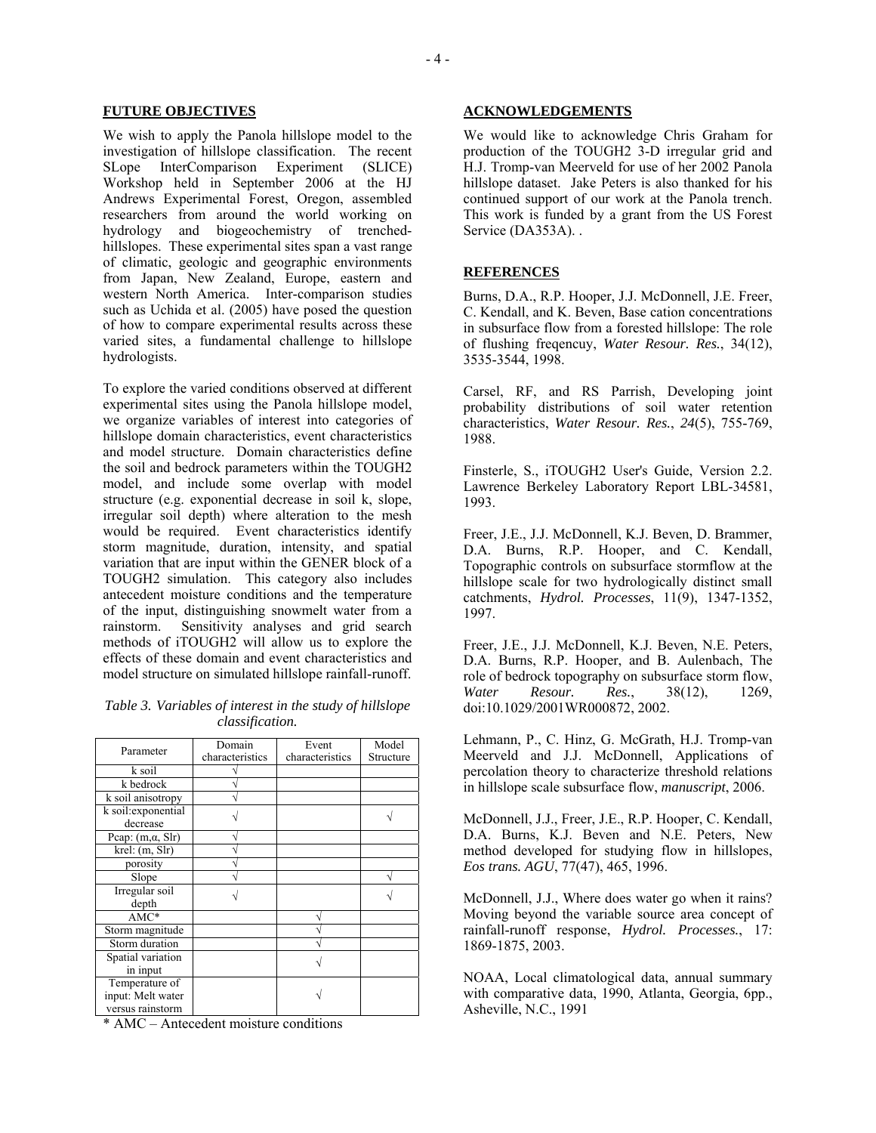#### **FUTURE OBJECTIVES**

We wish to apply the Panola hillslope model to the investigation of hillslope classification. The recent SLope InterComparison Experiment (SLICE) Workshop held in September 2006 at the HJ Andrews Experimental Forest, Oregon, assembled researchers from around the world working on hydrology and biogeochemistry of trenchedhillslopes. These experimental sites span a vast range of climatic, geologic and geographic environments from Japan, New Zealand, Europe, eastern and western North America. Inter-comparison studies such as Uchida et al. (2005) have posed the question of how to compare experimental results across these varied sites, a fundamental challenge to hillslope hydrologists.

To explore the varied conditions observed at different experimental sites using the Panola hillslope model, we organize variables of interest into categories of hillslope domain characteristics, event characteristics and model structure. Domain characteristics define the soil and bedrock parameters within the TOUGH2 model, and include some overlap with model structure (e.g. exponential decrease in soil k, slope, irregular soil depth) where alteration to the mesh would be required. Event characteristics identify storm magnitude, duration, intensity, and spatial variation that are input within the GENER block of a TOUGH2 simulation. This category also includes antecedent moisture conditions and the temperature of the input, distinguishing snowmelt water from a rainstorm. Sensitivity analyses and grid search methods of iTOUGH2 will allow us to explore the effects of these domain and event characteristics and model structure on simulated hillslope rainfall-runoff.

## *Table 3. Variables of interest in the study of hillslope classification.*

| Parameter                                               | Domain          | Event           | Model     |
|---------------------------------------------------------|-----------------|-----------------|-----------|
|                                                         | characteristics | characteristics | Structure |
| k soil                                                  |                 |                 |           |
| k bedrock                                               |                 |                 |           |
| k soil anisotropy                                       |                 |                 |           |
| k soil: exponential<br>decrease                         |                 |                 |           |
| Pcap: $(m, \alpha, Slr)$                                |                 |                 |           |
| krel: (m, Slr)                                          |                 |                 |           |
| porosity                                                |                 |                 |           |
| Slope                                                   |                 |                 |           |
| Irregular soil<br>depth                                 |                 |                 |           |
| $AMC*$                                                  |                 |                 |           |
| Storm magnitude                                         |                 |                 |           |
| Storm duration                                          |                 |                 |           |
| Spatial variation<br>in input                           |                 |                 |           |
| Temperature of<br>input: Melt water<br>versus rainstorm |                 |                 |           |

\* AMC – Antecedent moisture conditions

### **ACKNOWLEDGEMENTS**

We would like to acknowledge Chris Graham for production of the TOUGH2 3-D irregular grid and H.J. Tromp-van Meerveld for use of her 2002 Panola hillslope dataset. Jake Peters is also thanked for his continued support of our work at the Panola trench. This work is funded by a grant from the US Forest Service (DA353A). .

#### **REFERENCES**

Burns, D.A., R.P. Hooper, J.J. McDonnell, J.E. Freer, C. Kendall, and K. Beven, Base cation concentrations in subsurface flow from a forested hillslope: The role of flushing freqencuy, *Water Resour. Res.*, 34(12), 3535-3544, 1998.

Carsel, RF, and RS Parrish, Developing joint probability distributions of soil water retention characteristics, *Water Resour. Res.*, *24*(5), 755-769, 1988.

Finsterle, S., iTOUGH2 User's Guide, Version 2.2. Lawrence Berkeley Laboratory Report LBL-34581, 1993.

Freer, J.E., J.J. McDonnell, K.J. Beven, D. Brammer, D.A. Burns, R.P. Hooper, and C. Kendall, Topographic controls on subsurface stormflow at the hillslope scale for two hydrologically distinct small catchments, *Hydrol. Processes*, 11(9), 1347-1352, 1997.

Freer, J.E., J.J. McDonnell, K.J. Beven, N.E. Peters, D.A. Burns, R.P. Hooper, and B. Aulenbach, The role of bedrock topography on subsurface storm flow, *Water Resour. Res.*, 38(12), 1269, doi:10.1029/2001WR000872, 2002.

Lehmann, P., C. Hinz, G. McGrath, H.J. Tromp-van Meerveld and J.J. McDonnell, Applications of percolation theory to characterize threshold relations in hillslope scale subsurface flow, *manuscript*, 2006.

McDonnell, J.J., Freer, J.E., R.P. Hooper, C. Kendall, D.A. Burns, K.J. Beven and N.E. Peters, New method developed for studying flow in hillslopes, *Eos trans. AGU*, 77(47), 465, 1996.

McDonnell, J.J., Where does water go when it rains? Moving beyond the variable source area concept of rainfall-runoff response, *Hydrol. Processes.*, 17: 1869-1875, 2003.

NOAA, Local climatological data, annual summary with comparative data, 1990, Atlanta, Georgia, 6pp., Asheville, N.C., 1991